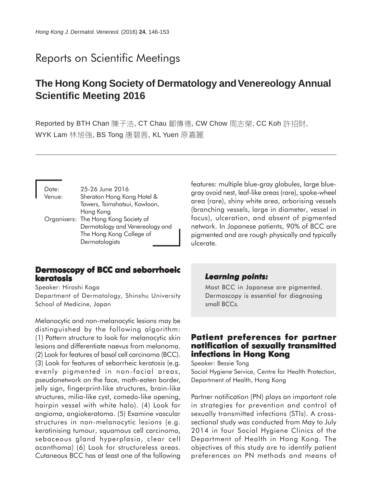# Reports on Scientific Meetings

# **The Hong Kong Society of Dermatology and Venereology Annual Scientific Meeting 2016**

Reported by BTH Chan 陳子浩, CT Chau 鄒傳德, CW Chow 周志榮, CC Koh 許招財, WYK Lam 林旭強, BS Tong 唐碧茜, KL Yuen 原嘉麗

| Date:  | 25-26 June 2016                      |
|--------|--------------------------------------|
| Venue: | Sheraton Hong Kong Hotel &           |
|        | Towers, Tsimshatsui, Kowloon,        |
|        | Hong Kong                            |
|        | Organisers: The Hong Kong Society of |
|        | Dermatology and Venereology and      |
|        | The Hong Kong College of             |
|        | Dermatologists                       |

## **Dermoscopy of BCC and seborrhoeic keratosis**

Speaker: Hiroshi Koga

Department of Dermatology, Shinshu University School of Medicine, Japan

Melanocytic and non-melanocytic lesions may be distinguished by the following algorithm: (1) Pattern structure to look for melanocytic skin lesions and differentiate naevus from melanoma. (2) Look for features of basal cell carcinoma (BCC). (3) Look for features of seborrheic keratosis (e.g. evenly pigmented in non-facial areas, pseudonetwork on the face, moth-eaten border, jelly sign, fingerprint-like structures, brain-like structures, milia-like cyst, comedo-like opening, hairpin vessel with white halo). (4) Look for angioma, angiokeratoma. (5) Examine vascular structures in non-melanocytic lesions (e.g. keratinising tumour, squamous cell carcinoma, sebaceous gland hyperplasia, clear cell acanthoma) (6) Look for structureless areas. Cutaneous BCC has at least one of the following

features: multiple blue-gray globules, large bluegray ovoid nest, leaf-like areas (rare), spoke-wheel area (rare), shiny white area, arborising vessels (branching vessels, large in diameter, vessel in focus), ulceration, and absent of pigmented network. In Japanese patients, 90% of BCC are pigmented and are rough physically and typically ulcerate.

#### *Learning points: Learning points:*

Most BCC in Japanese are pigmented. Dermoscopy is essential for diagnosing small BCCs.

# **Patient preferences for partner notification of sexually transmitted infections in Hong Kong**

Speaker: Bessie Tong Social Hygiene Service, Centre for Health Protection,

Department of Health, Hong Kong

Partner notification (PN) plays an important role in strategies for prevention and control of sexually transmitted infections (STIs). A crosssectional study was conducted from May to July 2014 in four Social Hygiene Clinics of the Department of Health in Hong Kong. The objectives of this study are to identify patient preferences on PN methods and means of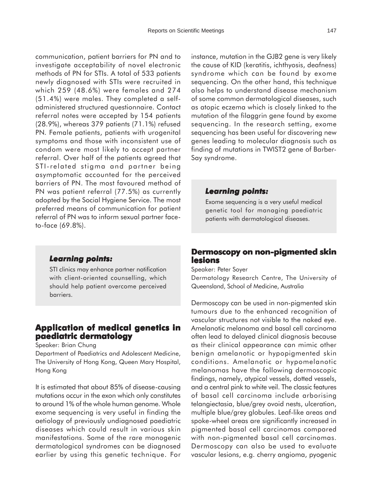communication, patient barriers for PN and to investigate acceptability of novel electronic methods of PN for STIs. A total of 533 patients newly diagnosed with STIs were recruited in which 259 (48.6%) were females and 274 (51.4%) were males. They completed a selfadministered structured questionnaire. Contact referral notes were accepted by 154 patients (28.9%), whereas 379 patients (71.1%) refused PN. Female patients, patients with urogenital symptoms and those with inconsistent use of condom were most likely to accept partner referral. Over half of the patients agreed that STI-related stigma and partner being asymptomatic accounted for the perceived barriers of PN. The most favoured method of PN was patient referral (77.5%) as currently adopted by the Social Hygiene Service. The most preferred means of communication for patient referral of PN was to inform sexual partner faceto-face (69.8%).

#### *Learning points: Learning*

STI clinics may enhance partner notification with client-oriented counselling, which should help patient overcome perceived barriers.

# **Application of medical genetics in paediatric dermatology**

Speaker: Brian Chung

Department of Paediatrics and Adolescent Medicine, The University of Hong Kong, Queen Mary Hospital, Hong Kong

It is estimated that about 85% of disease-causing mutations occur in the exon which only constitutes to around 1% of the whole human genome. Whole exome sequencing is very useful in finding the aetiology of previously undiagnosed paediatric diseases which could result in various skin manifestations. Some of the rare monogenic dermatological syndromes can be diagnosed earlier by using this genetic technique. For

instance, mutation in the GJB2 gene is very likely the cause of KID (keratitis, ichthyosis, deafness) syndrome which can be found by exome sequencing. On the other hand, this technique also helps to understand disease mechanism of some common dermatological diseases, such as atopic eczema which is closely linked to the mutation of the filaggrin gene found by exome sequencing. In the research setting, exome sequencing has been useful for discovering new genes leading to molecular diagnosis such as finding of mutations in TWIST2 gene of Barber-Say syndrome.

#### *Learning points: Learning*

Exome sequencing is a very useful medical genetic tool for managing paediatric patients with dermatological diseases.

## **Dermoscopy on non-pigmented skin lesions**

Speaker: Peter Soyer

Dermatology Research Centre, The University of Queensland, School of Medicine, Australia

Dermoscopy can be used in non-pigmented skin tumours due to the enhanced recognition of vascular structures not visible to the naked eye. Amelanotic melanoma and basal cell carcinoma often lead to delayed clinical diagnosis because as their clinical appearance can mimic other benign amelanotic or hypopigmented skin conditions. Amelanotic or hypomelanotic melanomas have the following dermoscopic findings, namely, atypical vessels, dotted vessels, and a central pink to white veil. The classic features of basal cell carcinoma include arborising telangiectasia, blue/grey ovoid nests, ulceration, multiple blue/grey globules. Leaf-like areas and spoke-wheel areas are significantly increased in pigmented basal cell carcinomas compared with non-pigmented basal cell carcinomas. Dermoscopy can also be used to evaluate vascular lesions, e.g. cherry angioma, pyogenic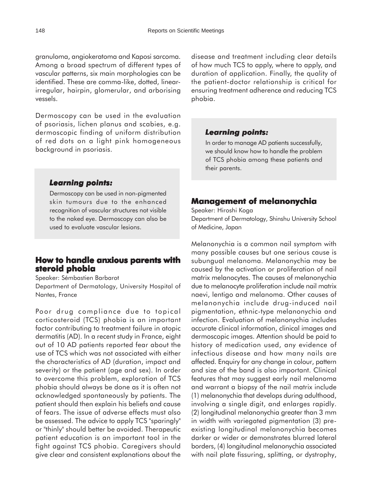granuloma, angiokeratoma and Kaposi sarcoma. Among a broad spectrum of different types of vascular patterns, six main morphologies can be identified. These are comma-like, dotted, linearirregular, hairpin, glomerular, and arborising vessels.

Dermoscopy can be used in the evaluation of psoriasis, lichen planus and scabies, e.g. dermoscopic finding of uniform distribution of red dots on a light pink homogeneous background in psoriasis.

## *Learning points: Learning*

Dermoscopy can be used in non-pigmented skin tumours due to the enhanced recognition of vascular structures not visible to the naked eye. Dermoscopy can also be used to evaluate vascular lesions.

# **How to handle anxious parents with steroid phobia**

Speaker: Sémbastien Barbarot

Department of Dermatology, University Hospital of Nantes, France

Poor drug compliance due to topical corticosteroid (TCS) phobia is an important factor contributing to treatment failure in atopic dermatitis (AD). In a recent study in France, eight out of 10 AD patients reported fear about the use of TCS which was not associated with either the characteristics of AD (duration, impact and severity) or the patient (age and sex). In order to overcome this problem, exploration of TCS phobia should always be done as it is often not acknowledged spontaneously by patients. The patient should then explain his beliefs and cause of fears. The issue of adverse effects must also be assessed. The advice to apply TCS "sparingly" or "thinly" should better be avoided. Therapeutic patient education is an important tool in the fight against TCS phobia. Caregivers should give clear and consistent explanations about the

disease and treatment including clear details of how much TCS to apply, where to apply, and duration of application. Finally, the quality of the patient-doctor relationship is critical for ensuring treatment adherence and reducing TCS phobia.

### *Learning points: Learning*

In order to manage AD patients successfully, we should know how to handle the problem of TCS phobia among these patients and their parents.

# **Management of melanonychia**

Speaker: Hiroshi Koga Department of Dermatology, Shinshu University School of Medicine, Japan

Melanonychia is a common nail symptom with many possible causes but one serious cause is subungual melanoma. Melanonychia may be caused by the activation or proliferation of nail matrix melanocytes. The causes of melanonychia due to melanocyte proliferation include nail matrix naevi, lentigo and melanoma. Other causes of melanonychia include drug-induced nail pigmentation, ethnic-type melanonychia and infection. Evaluation of melanonychia includes accurate clinical information, clinical images and dermoscopic images. Attention should be paid to history of medication used, any evidence of infectious disease and how many nails are affected. Enquiry for any change in colour, pattern and size of the band is also important. Clinical features that may suggest early nail melanoma and warrant a biopsy of the nail matrix include (1) melanonychia that develops during adulthood, involving a single digit, and enlarges rapidly. (2) longitudinal melanonychia greater than 3 mm in width with variegated pigmentation (3) preexisting longitudinal melanonychia becomes darker or wider or demonstrates blurred lateral borders, (4) longitudinal melanonychia associated with nail plate fissuring, splitting, or dystrophy,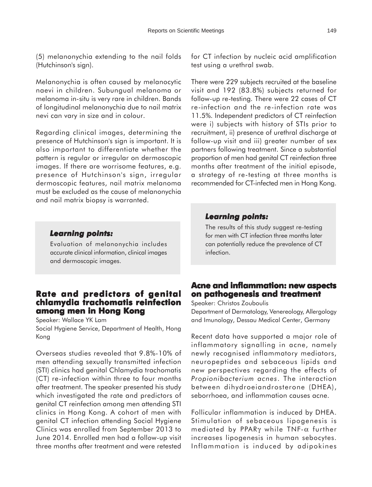(5) melanonychia extending to the nail folds (Hutchinson's sign).

Melanonychia is often caused by melanocytic naevi in children. Subungual melanoma or melanoma in-situ is very rare in children. Bands of longitudinal melanonychia due to nail matrix nevi can vary in size and in colour.

Regarding clinical images, determining the presence of Hutchinson's sign is important. It is also important to differentiate whether the pattern is regular or irregular on dermoscopic images. If there are worrisome features, e.g. presence of Hutchinson's sign, irregular dermoscopic features, nail matrix melanoma must be excluded as the cause of melanonychia and nail matrix biopsy is warranted.

### *Learning points:*

Evaluation of melanonychia includes accurate clinical information, clinical images and dermoscopic images.

# **Rate and predictors of genital Rate and predictors genital chlamydia trachomatis reinfection among men in Hong Kong**

Speaker: Wallace YK Lam Social Hygiene Service, Department of Health, Hong Kong

Overseas studies revealed that 9.8%-10% of men attending sexually transmitted infection (STI) clinics had genital Chlamydia trachomatis (CT) re-infection within three to four months after treatment. The speaker presented his study which investigated the rate and predictors of genital CT reinfection among men attending STI clinics in Hong Kong. A cohort of men with genital CT infection attending Social Hygiene Clinics was enrolled from September 2013 to June 2014. Enrolled men had a follow-up visit three months after treatment and were retested for CT infection by nucleic acid amplification test using a urethral swab.

There were 229 subjects recruited at the baseline visit and 192 (83.8%) subjects returned for follow-up re-testing. There were 22 cases of CT re-infection and the re-infection rate was 11.5%. Independent predictors of CT reinfection were i) subjects with history of STIs prior to recruitment, ii) presence of urethral discharge at follow-up visit and iii) greater number of sex partners following treatment. Since a substantial proportion of men had genital CT reinfection three months after treatment of the initial episode, a strategy of re-testing at three months is recommended for CT-infected men in Hong Kong.

### *Learning points: Learning*

The results of this study suggest re-testing for men with CT infection three months later can potentially reduce the prevalence of CT infection.

# **Acne and inflammation: new aspects on pathogenesis and treatment treatment**

Speaker: Christos Zouboulis

Department of Dermatology, Venereology, Allergology and Imunology, Dessau Medical Center, Germany

Recent data have supported a major role of inflammatory signalling in acne, namely newly recognised inflammatory mediators, neuropeptides and sebaceous lipids and new perspectives regarding the effects of *Propionibacterium acnes*. The interaction between dihydroeiandrosterone (DHEA), seborrhoea, and inflammation causes acne.

Follicular inflammation is induced by DHEA. Stimulation of sebaceous lipogenesis is mediated by PPARγ while TNF-α further increases lipogenesis in human sebocytes. Inflammation is induced by adipokines